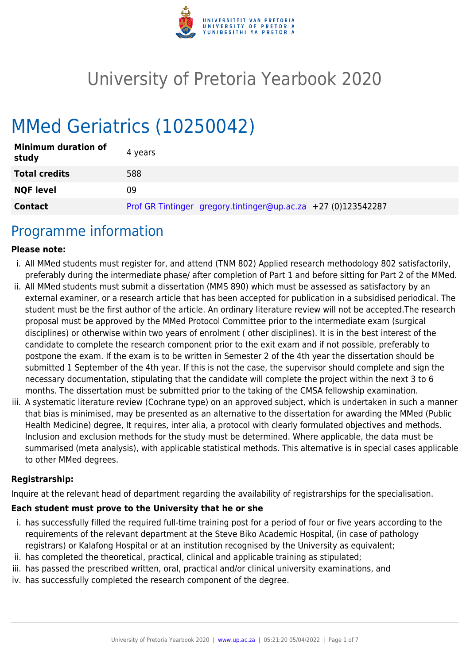

# University of Pretoria Yearbook 2020

# MMed Geriatrics (10250042)

| <b>Minimum duration of</b><br>study | 4 years                                                       |
|-------------------------------------|---------------------------------------------------------------|
| <b>Total credits</b>                | 588                                                           |
| <b>NQF level</b>                    | 09                                                            |
| <b>Contact</b>                      | Prof GR Tintinger gregory.tintinger@up.ac.za +27 (0)123542287 |

### Programme information

#### **Please note:**

- i. All MMed students must register for, and attend (TNM 802) Applied research methodology 802 satisfactorily, preferably during the intermediate phase/ after completion of Part 1 and before sitting for Part 2 of the MMed.
- ii. All MMed students must submit a dissertation (MMS 890) which must be assessed as satisfactory by an external examiner, or a research article that has been accepted for publication in a subsidised periodical. The student must be the first author of the article. An ordinary literature review will not be accepted.The research proposal must be approved by the MMed Protocol Committee prior to the intermediate exam (surgical disciplines) or otherwise within two years of enrolment ( other disciplines). It is in the best interest of the candidate to complete the research component prior to the exit exam and if not possible, preferably to postpone the exam. If the exam is to be written in Semester 2 of the 4th year the dissertation should be submitted 1 September of the 4th year. If this is not the case, the supervisor should complete and sign the necessary documentation, stipulating that the candidate will complete the project within the next 3 to 6 months. The dissertation must be submitted prior to the taking of the CMSA fellowship examination.
- iii. A systematic literature review (Cochrane type) on an approved subject, which is undertaken in such a manner that bias is minimised, may be presented as an alternative to the dissertation for awarding the MMed (Public Health Medicine) degree, It requires, inter alia, a protocol with clearly formulated objectives and methods. Inclusion and exclusion methods for the study must be determined. Where applicable, the data must be summarised (meta analysis), with applicable statistical methods. This alternative is in special cases applicable to other MMed degrees.

#### **Registrarship:**

Inquire at the relevant head of department regarding the availability of registrarships for the specialisation.

#### **Each student must prove to the University that he or she**

- i. has successfully filled the required full-time training post for a period of four or five years according to the requirements of the relevant department at the Steve Biko Academic Hospital, (in case of pathology registrars) or Kalafong Hospital or at an institution recognised by the University as equivalent;
- ii. has completed the theoretical, practical, clinical and applicable training as stipulated;
- iii. has passed the prescribed written, oral, practical and/or clinical university examinations, and
- iv. has successfully completed the research component of the degree.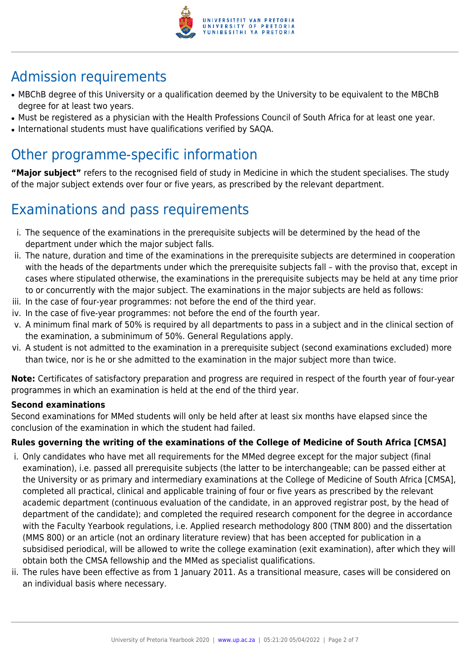

# Admission requirements

- MBChB degree of this University or a qualification deemed by the University to be equivalent to the MBChB degree for at least two years.
- Must be registered as a physician with the Health Professions Council of South Africa for at least one year.
- International students must have qualifications verified by SAQA.

# Other programme-specific information

**"Major subject"** refers to the recognised field of study in Medicine in which the student specialises. The study of the major subject extends over four or five years, as prescribed by the relevant department.

# Examinations and pass requirements

- i. The sequence of the examinations in the prerequisite subjects will be determined by the head of the department under which the major subject falls.
- ii. The nature, duration and time of the examinations in the prerequisite subjects are determined in cooperation with the heads of the departments under which the prerequisite subjects fall – with the proviso that, except in cases where stipulated otherwise, the examinations in the prerequisite subjects may be held at any time prior to or concurrently with the major subject. The examinations in the major subjects are held as follows:
- iii. In the case of four-year programmes: not before the end of the third year.
- iv. In the case of five-year programmes: not before the end of the fourth year.
- v. A minimum final mark of 50% is required by all departments to pass in a subject and in the clinical section of the examination, a subminimum of 50%. General Regulations apply.
- vi. A student is not admitted to the examination in a prerequisite subject (second examinations excluded) more than twice, nor is he or she admitted to the examination in the major subject more than twice.

**Note:** Certificates of satisfactory preparation and progress are required in respect of the fourth year of four-year programmes in which an examination is held at the end of the third year.

### **Second examinations**

Second examinations for MMed students will only be held after at least six months have elapsed since the conclusion of the examination in which the student had failed.

### **Rules governing the writing of the examinations of the College of Medicine of South Africa [CMSA]**

- i. Only candidates who have met all requirements for the MMed degree except for the major subject (final examination), i.e. passed all prerequisite subjects (the latter to be interchangeable; can be passed either at the University or as primary and intermediary examinations at the College of Medicine of South Africa [CMSA], completed all practical, clinical and applicable training of four or five years as prescribed by the relevant academic department (continuous evaluation of the candidate, in an approved registrar post, by the head of department of the candidate); and completed the required research component for the degree in accordance with the Faculty Yearbook regulations, i.e. Applied research methodology 800 (TNM 800) and the dissertation (MMS 800) or an article (not an ordinary literature review) that has been accepted for publication in a subsidised periodical, will be allowed to write the college examination (exit examination), after which they will obtain both the CMSA fellowship and the MMed as specialist qualifications.
- ii. The rules have been effective as from 1 January 2011. As a transitional measure, cases will be considered on an individual basis where necessary.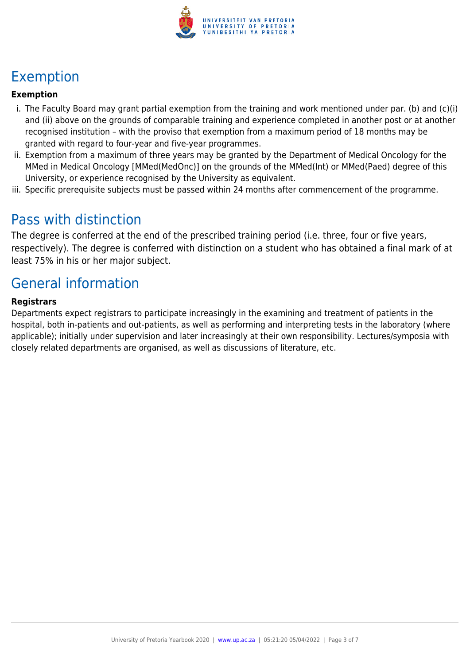

# Exemption

#### **Exemption**

- i. The Faculty Board may grant partial exemption from the training and work mentioned under par. (b) and (c)(i) and (ii) above on the grounds of comparable training and experience completed in another post or at another recognised institution – with the proviso that exemption from a maximum period of 18 months may be granted with regard to four-year and five-year programmes.
- ii. Exemption from a maximum of three years may be granted by the Department of Medical Oncology for the MMed in Medical Oncology [MMed(MedOnc)] on the grounds of the MMed(Int) or MMed(Paed) degree of this University, or experience recognised by the University as equivalent.
- iii. Specific prerequisite subjects must be passed within 24 months after commencement of the programme.

### Pass with distinction

The degree is conferred at the end of the prescribed training period (i.e. three, four or five years, respectively). The degree is conferred with distinction on a student who has obtained a final mark of at least 75% in his or her major subject.

# General information

#### **Registrars**

Departments expect registrars to participate increasingly in the examining and treatment of patients in the hospital, both in-patients and out-patients, as well as performing and interpreting tests in the laboratory (where applicable); initially under supervision and later increasingly at their own responsibility. Lectures/symposia with closely related departments are organised, as well as discussions of literature, etc.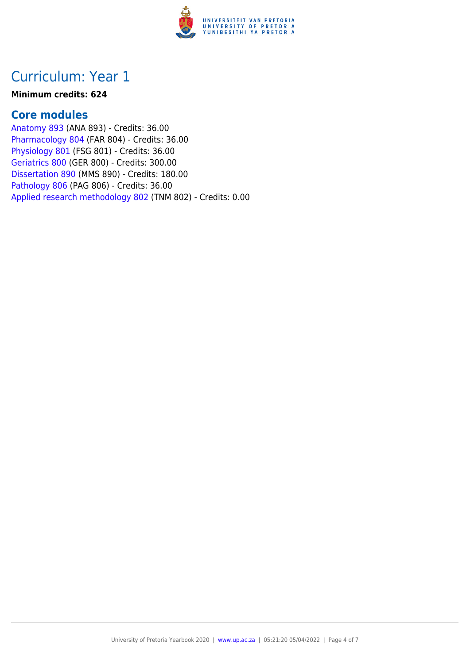

### Curriculum: Year 1

#### **Minimum credits: 624**

### **Core modules**

[Anatomy 893](https://www.up.ac.za/faculty-of-education/yearbooks/2020/modules/view/ANA 893) (ANA 893) - Credits: 36.00 [Pharmacology 804](https://www.up.ac.za/faculty-of-education/yearbooks/2020/modules/view/FAR 804) (FAR 804) - Credits: 36.00 [Physiology 801](https://www.up.ac.za/faculty-of-education/yearbooks/2020/modules/view/FSG 801) (FSG 801) - Credits: 36.00 [Geriatrics 800](https://www.up.ac.za/faculty-of-education/yearbooks/2020/modules/view/GER 800) (GER 800) - Credits: 300.00 [Dissertation 890](https://www.up.ac.za/faculty-of-education/yearbooks/2020/modules/view/MMS 890) (MMS 890) - Credits: 180.00 [Pathology 806](https://www.up.ac.za/faculty-of-education/yearbooks/2020/modules/view/PAG 806) (PAG 806) - Credits: 36.00 [Applied research methodology 802](https://www.up.ac.za/faculty-of-education/yearbooks/2020/modules/view/TNM 802) (TNM 802) - Credits: 0.00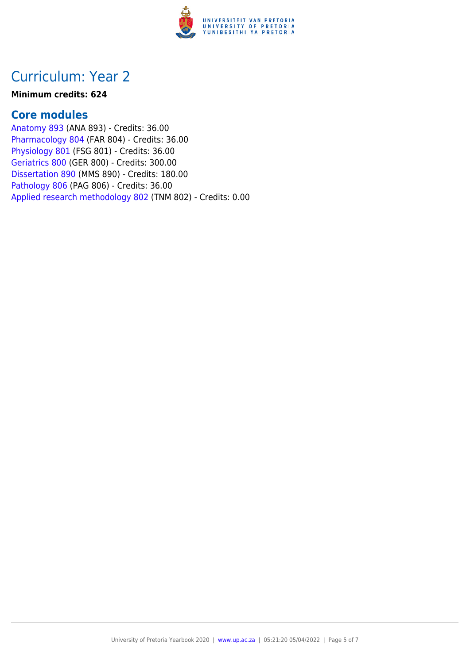

### Curriculum: Year 2

#### **Minimum credits: 624**

### **Core modules**

[Anatomy 893](https://www.up.ac.za/faculty-of-education/yearbooks/2020/modules/view/ANA 893) (ANA 893) - Credits: 36.00 [Pharmacology 804](https://www.up.ac.za/faculty-of-education/yearbooks/2020/modules/view/FAR 804) (FAR 804) - Credits: 36.00 [Physiology 801](https://www.up.ac.za/faculty-of-education/yearbooks/2020/modules/view/FSG 801) (FSG 801) - Credits: 36.00 [Geriatrics 800](https://www.up.ac.za/faculty-of-education/yearbooks/2020/modules/view/GER 800) (GER 800) - Credits: 300.00 [Dissertation 890](https://www.up.ac.za/faculty-of-education/yearbooks/2020/modules/view/MMS 890) (MMS 890) - Credits: 180.00 [Pathology 806](https://www.up.ac.za/faculty-of-education/yearbooks/2020/modules/view/PAG 806) (PAG 806) - Credits: 36.00 [Applied research methodology 802](https://www.up.ac.za/faculty-of-education/yearbooks/2020/modules/view/TNM 802) (TNM 802) - Credits: 0.00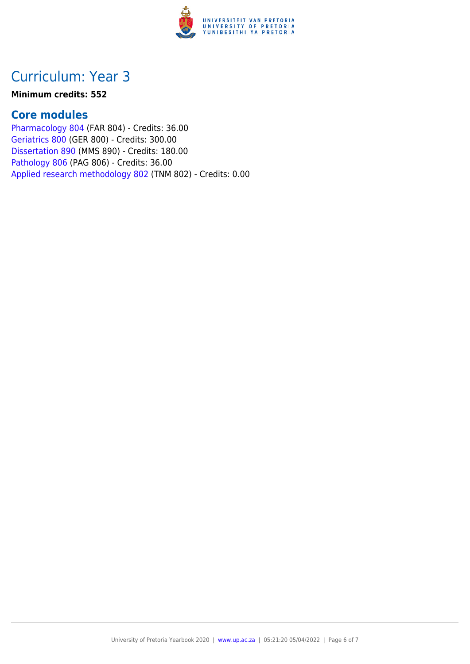

## Curriculum: Year 3

#### **Minimum credits: 552**

### **Core modules**

[Pharmacology 804](https://www.up.ac.za/faculty-of-education/yearbooks/2020/modules/view/FAR 804) (FAR 804) - Credits: 36.00 [Geriatrics 800](https://www.up.ac.za/faculty-of-education/yearbooks/2020/modules/view/GER 800) (GER 800) - Credits: 300.00 [Dissertation 890](https://www.up.ac.za/faculty-of-education/yearbooks/2020/modules/view/MMS 890) (MMS 890) - Credits: 180.00 [Pathology 806](https://www.up.ac.za/faculty-of-education/yearbooks/2020/modules/view/PAG 806) (PAG 806) - Credits: 36.00 [Applied research methodology 802](https://www.up.ac.za/faculty-of-education/yearbooks/2020/modules/view/TNM 802) (TNM 802) - Credits: 0.00